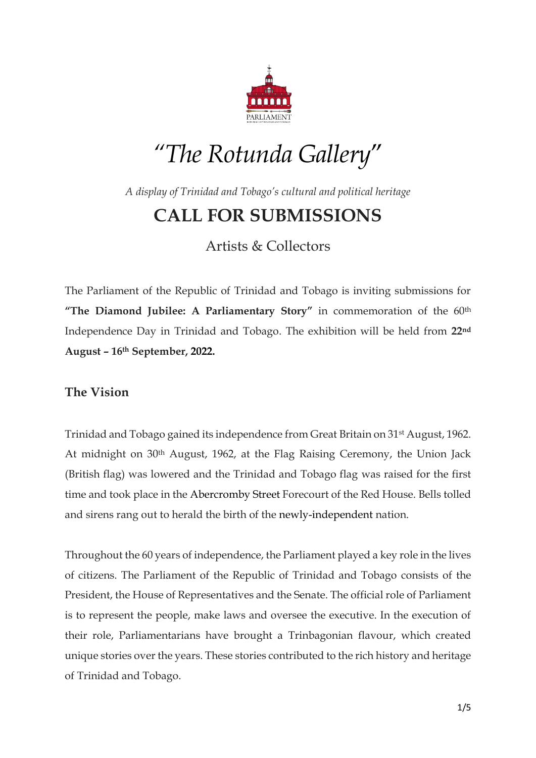

# *"The Rotunda Gallery*"

*A display of Trinidad and Tobago's cultural and political heritage*

# **CALL FOR SUBMISSIONS**

Artists & Collectors

The Parliament of the Republic of Trinidad and Tobago is inviting submissions for **"The Diamond Jubilee: A Parliamentary Story"** in commemoration of the 60th Independence Day in Trinidad and Tobago. The exhibition will be held from **22nd August – 16th September, 2022.**

### **The Vision**

Trinidad and Tobago gained its independence from Great Britain on 31st August, 1962. At midnight on 30<sup>th</sup> August, 1962, at the Flag Raising Ceremony, the Union Jack (British flag) was lowered and the Trinidad and Tobago flag was raised for the first time and took place in the Abercromby Street Forecourt of the Red House. Bells tolled and sirens rang out to herald the birth of the newly-independent nation.

Throughout the 60 years of independence, the Parliament played a key role in the lives of citizens. The Parliament of the Republic of Trinidad and Tobago consists of the President, the House of Representatives and the Senate. The official role of Parliament is to represent the people, make laws and oversee the executive. In the execution of their role, Parliamentarians have brought a Trinbagonian flavour, which created unique stories over the years. These stories contributed to the rich history and heritage of Trinidad and Tobago.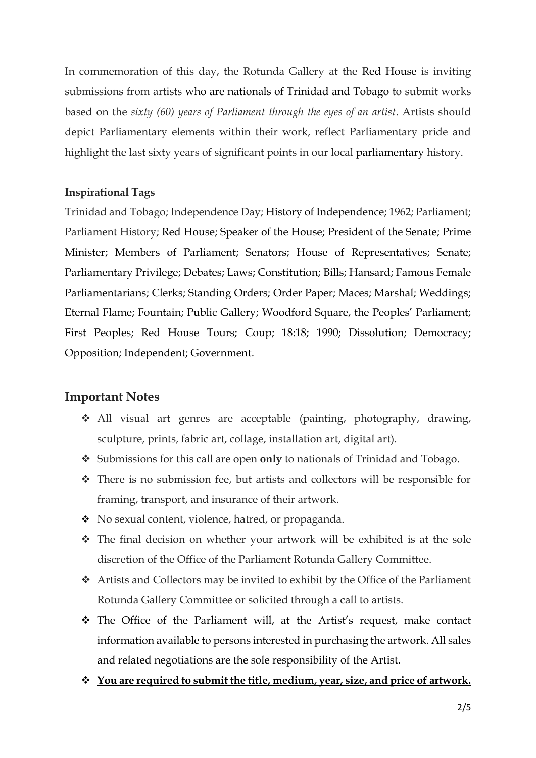In commemoration of this day, the Rotunda Gallery at the Red House is inviting submissions from artists who are nationals of Trinidad and Tobago to submit works based on the *sixty (60) years of Parliament through the eyes of an artist*. Artists should depict Parliamentary elements within their work, reflect Parliamentary pride and highlight the last sixty years of significant points in our local parliamentary history.

#### **Inspirational Tags**

Trinidad and Tobago; Independence Day; History of Independence; 1962; Parliament; Parliament History; Red House; Speaker of the House; President of the Senate; Prime Minister; Members of Parliament; Senators; House of Representatives; Senate; Parliamentary Privilege; Debates; Laws; Constitution; Bills; Hansard; Famous Female Parliamentarians; Clerks; Standing Orders; Order Paper; Maces; Marshal; Weddings; Eternal Flame; Fountain; Public Gallery; Woodford Square, the Peoples' Parliament; First Peoples; Red House Tours; Coup; 18:18; 1990; Dissolution; Democracy; Opposition; Independent; Government.

#### **Important Notes**

- All visual art genres are acceptable (painting, photography, drawing, sculpture, prints, fabric art, collage, installation art, digital art).
- Submissions for this call are open **only** to nationals of Trinidad and Tobago.
- There is no submission fee, but artists and collectors will be responsible for framing, transport, and insurance of their artwork.
- No sexual content, violence, hatred, or propaganda.
- The final decision on whether your artwork will be exhibited is at the sole discretion of the Office of the Parliament Rotunda Gallery Committee.
- Artists and Collectors may be invited to exhibit by the Office of the Parliament Rotunda Gallery Committee or solicited through a call to artists.
- The Office of the Parliament will, at the Artist's request, make contact information available to persons interested in purchasing the artwork. All sales and related negotiations are the sole responsibility of the Artist.
- **You are required to submit the title, medium, year, size, and price of artwork.**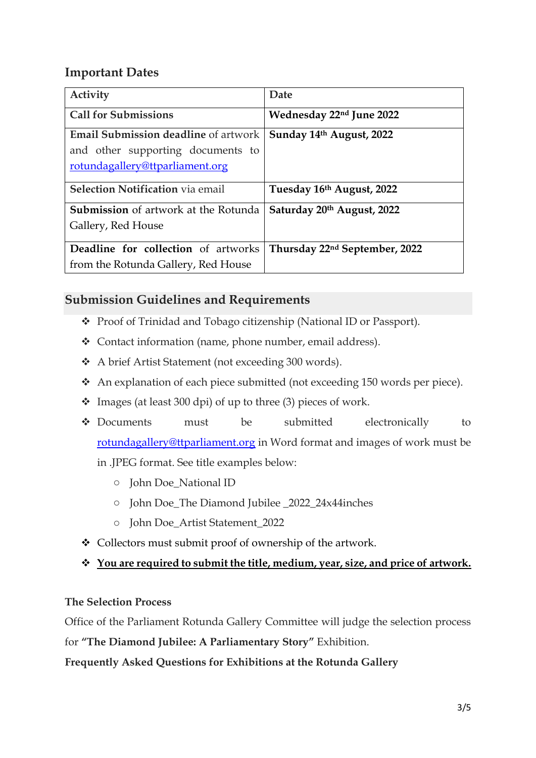# **Important Dates**

| Activity                                                                                                            | Date                                      |
|---------------------------------------------------------------------------------------------------------------------|-------------------------------------------|
| <b>Call for Submissions</b>                                                                                         | Wednesday 22nd June 2022                  |
| <b>Email Submission deadline</b> of artwork<br>and other supporting documents to<br>rotundagallery@ttparliament.org | Sunday 14th August, 2022                  |
| <b>Selection Notification</b> via email                                                                             | Tuesday 16th August, 2022                 |
| <b>Submission</b> of artwork at the Rotunda<br>Gallery, Red House                                                   | Saturday 20th August, 2022                |
| Deadline for collection of artworks                                                                                 | Thursday 22 <sup>nd</sup> September, 2022 |
| from the Rotunda Gallery, Red House                                                                                 |                                           |

## **Submission Guidelines and Requirements**

- Proof of Trinidad and Tobago citizenship (National ID or Passport).
- Contact information (name, phone number, email address).
- A brief Artist Statement (not exceeding 300 words).
- An explanation of each piece submitted (not exceeding 150 words per piece).
- $\div$  Images (at least 300 dpi) of up to three (3) pieces of work.
- Documents must be submitted electronically to [rotundagallery@ttparliament.org](mailto:rotundagallery@ttparliament.org) in Word format and images of work must be in .JPEG format. See title examples below:
	- o John Doe\_National ID
	- o John Doe\_The Diamond Jubilee \_2022\_24x44inches
	- o John Doe\_Artist Statement\_2022
- Collectors must submit proof of ownership of the artwork.
- **You are required to submit the title, medium, year, size, and price of artwork.**

#### **The Selection Process**

Office of the Parliament Rotunda Gallery Committee will judge the selection process for **"The Diamond Jubilee: A Parliamentary Story"** Exhibition.

**Frequently Asked Questions for Exhibitions at the Rotunda Gallery**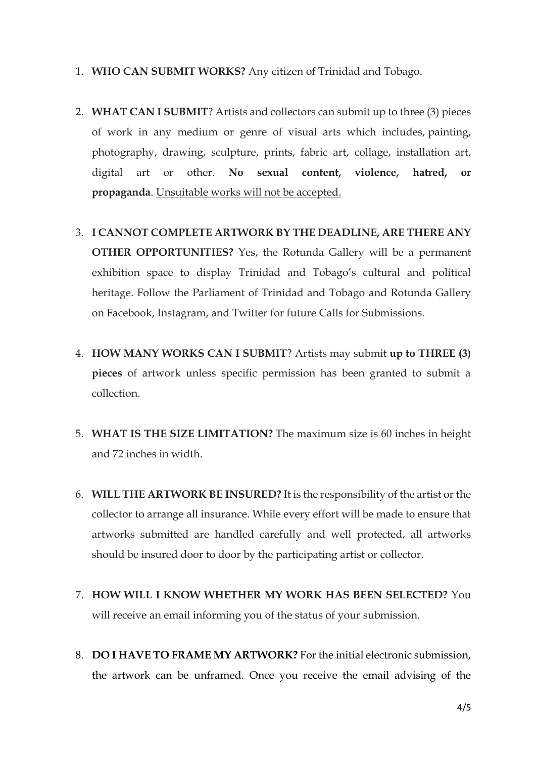- 1. **WHO CAN SUBMIT WORKS?** Any citizen of Trinidad and Tobago.
- 2. **WHAT CAN I SUBMIT**? Artists and collectors can submit up to three (3) pieces of work in any medium or genre of visual arts which includes, painting, photography, drawing, sculpture, prints, fabric art, collage, installation art, digital art or other. **No sexual content, violence, hatred, or propaganda**. Unsuitable works will not be accepted.
- 3. **I CANNOT COMPLETE ARTWORK BY THE DEADLINE, ARE THERE ANY OTHER OPPORTUNITIES?** Yes, the Rotunda Gallery will be a permanent exhibition space to display Trinidad and Tobago's cultural and political heritage. Follow the Parliament of Trinidad and Tobago and Rotunda Gallery on Facebook, Instagram, and Twitter for future Calls for Submissions.
- 4. **HOW MANY WORKS CAN I SUBMIT**? Artists may submit **up to THREE (3) pieces** of artwork unless specific permission has been granted to submit a collection.
- 5. **WHAT IS THE SIZE LIMITATION?** The maximum size is 60 inches in height and 72 inches in width.
- 6. **WILL THE ARTWORK BE INSURED?** It is the responsibility of the artist or the collector to arrange all insurance. While every effort will be made to ensure that artworks submitted are handled carefully and well protected, all artworks should be insured door to door by the participating artist or collector.
- 7. **HOW WILL I KNOW WHETHER MY WORK HAS BEEN SELECTED?** You will receive an email informing you of the status of your submission.
- 8. **DO I HAVE TO FRAME MY ARTWORK?** For the initial electronic submission, the artwork can be unframed. Once you receive the email advising of the